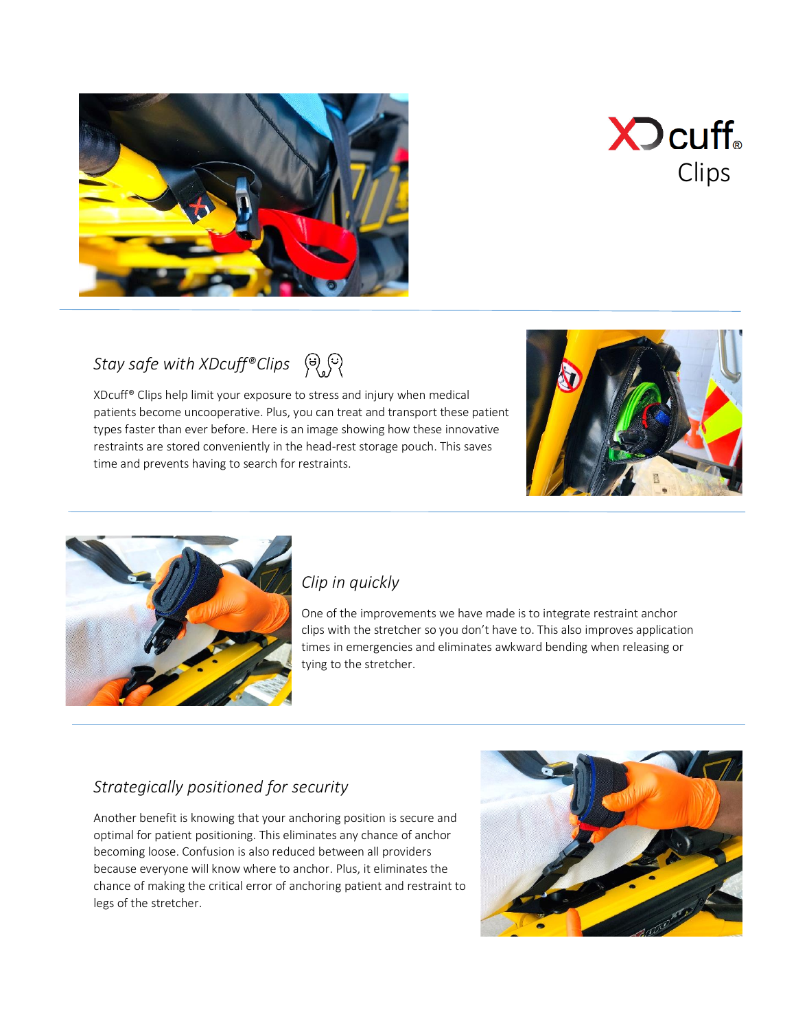



# *Stay safe with XDcuff®Clips*

XDcuff® Clips help limit your exposure to stress and injury when medical patients become uncooperative. Plus, you can treat and transport these patient types faster than ever before. Here is an image showing how these innovative restraints are stored conveniently in the head-rest storage pouch. This saves time and prevents having to search for restraints.





#### *Clip in quickly*

One of the improvements we have made is to integrate restraint anchor clips with the stretcher so you don't have to. This also improves application times in emergencies and eliminates awkward bending when releasing or tying to the stretcher.

#### *Strategically positioned for security*

Another benefit is knowing that your anchoring position is secure and optimal for patient positioning. This eliminates any chance of anchor becoming loose. Confusion is also reduced between all providers because everyone will know where to anchor. Plus, it eliminates the chance of making the critical error of anchoring patient and restraint to legs of the stretcher.